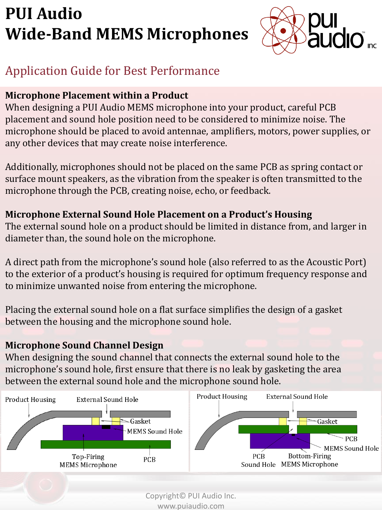

# Application Guide for Best Performance

### **Microphone Placement within a Product**

When designing a PUI Audio MEMS microphone into your product, careful PCB placement and sound hole position need to be considered to minimize noise. The microphone should be placed to avoid antennae, amplifiers, motors, power supplies, or any other devices that may create noise interference.

Additionally, microphones should not be placed on the same PCB as spring contact or surface mount speakers, as the vibration from the speaker is often transmitted to the microphone through the PCB, creating noise, echo, or feedback.

### **Microphone External Sound Hole Placement on a Product's Housing**

The external sound hole on a product should be limited in distance from, and larger in diameter than, the sound hole on the microphone.

A direct path from the microphone's sound hole (also referred to as the Acoustic Port) to the exterior of a product's housing is required for optimum frequency response and to minimize unwanted noise from entering the microphone.

Placing the external sound hole on a flat surface simplifies the design of a gasket between the housing and the microphone sound hole.

## **Microphone Sound Channel Design**

When designing the sound channel that connects the external sound hole to the microphone's sound hole, first ensure that there is no leak by gasketing the area between the external sound hole and the microphone sound hole.

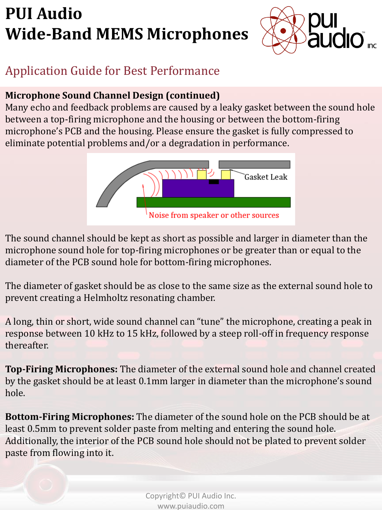

# Application Guide for Best Performance

### **Microphone Sound Channel Design (continued)**

Many echo and feedback problems are caused by a leaky gasket between the sound hole between a top-firing microphone and the housing or between the bottom-firing microphone's PCB and the housing. Please ensure the gasket is fully compressed to eliminate potential problems and/or a degradation in performance.



The sound channel should be kept as short as possible and larger in diameter than the microphone sound hole for top-firing microphones or be greater than or equal to the diameter of the PCB sound hole for bottom-firing microphones.

The diameter of gasket should be as close to the same size as the external sound hole to prevent creating a Helmholtz resonating chamber.

A long, thin or short, wide sound channel can "tune" the microphone, creating a peak in response between 10 kHz to 15 kHz, followed by a steep roll-off in frequency response thereafter.

**Top-Firing Microphones:** The diameter of the external sound hole and channel created by the gasket should be at least 0.1mm larger in diameter than the microphone's sound hole.

**Bottom-Firing Microphones:** The diameter of the sound hole on the PCB should be at least 0.5mm to prevent solder paste from melting and entering the sound hole. Additionally, the interior of the PCB sound hole should not be plated to prevent solder paste from flowing into it.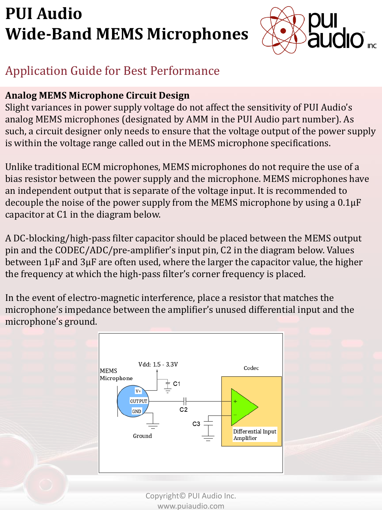

## Application Guide for Best Performance

### **Analog MEMS Microphone Circuit Design**

Slight variances in power supply voltage do not affect the sensitivity of PUI Audio's analog MEMS microphones (designated by AMM in the PUI Audio part number). As such, a circuit designer only needs to ensure that the voltage output of the power supply is within the voltage range called out in the MEMS microphone specifications.

Unlike traditional ECM microphones, MEMS microphones do not require the use of a bias resistor between the power supply and the microphone. MEMS microphones have an independent output that is separate of the voltage input. It is recommended to decouple the noise of the power supply from the MEMS microphone by using a 0.1µF capacitor at C1 in the diagram below.

A DC-blocking/high-pass filter capacitor should be placed between the MEMS output pin and the CODEC/ADC/pre-amplifier's input pin, C2 in the diagram below. Values between 1µF and 3µF are often used, where the larger the capacitor value, the higher the frequency at which the high-pass filter's corner frequency is placed.

In the event of electro-magnetic interference, place a resistor that matches the microphone's impedance between the amplifier's unused differential input and the microphone's ground.

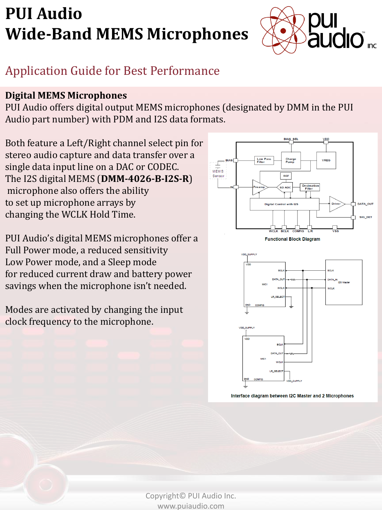

# Application Guide for Best Performance

#### **Digital MEMS Microphones**

PUI Audio offers digital output MEMS microphones (designated by DMM in the PUI Audio part number) with PDM and I2S data formats.

Both feature a Left/Right channel select pin for stereo audio capture and data transfer over a single data input line on a DAC or CODEC. The I2S digital MEMS (**DMM-4026-B-I2S-R**) microphone also offers the ability to set up microphone arrays by changing the WCLK Hold Time.

PUI Audio's digital MEMS microphones offer a Full Power mode, a reduced sensitivity Low Power mode, and a Sleep mode for reduced current draw and battery power savings when the microphone isn't needed.

Modes are activated by changing the input clock frequency to the microphone.





Interface diagram between I2C Master and 2 Microphones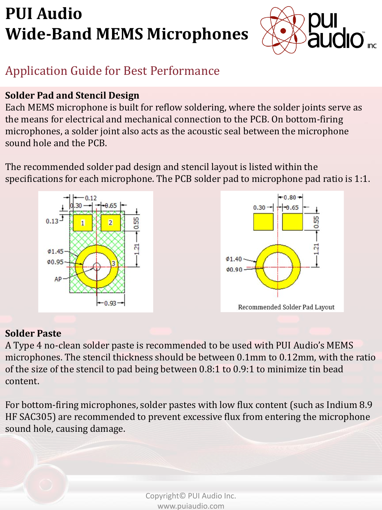

# Application Guide for Best Performance

### **Solder Pad and Stencil Design**

Each MEMS microphone is built for reflow soldering, where the solder joints serve as the means for electrical and mechanical connection to the PCB. On bottom-firing microphones, a solder joint also acts as the acoustic seal between the microphone sound hole and the PCB.

The recommended solder pad design and stencil layout is listed within the specifications for each microphone. The PCB solder pad to microphone pad ratio is 1:1.



#### **Solder Paste**

A Type 4 no-clean solder paste is recommended to be used with PUI Audio's MEMS microphones. The stencil thickness should be between 0.1mm to 0.12mm, with the ratio of the size of the stencil to pad being between 0.8:1 to 0.9:1 to minimize tin bead content.

For bottom-firing microphones, solder pastes with low flux content (such as Indium 8.9 HF SAC305) are recommended to prevent excessive flux from entering the microphone sound hole, causing damage.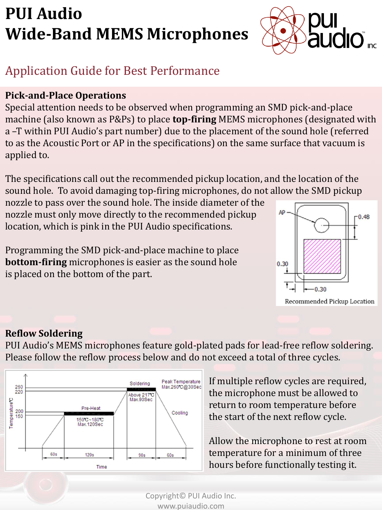

## Application Guide for Best Performance

### **Pick-and-Place Operations**

Special attention needs to be observed when programming an SMD pick-and-place machine (also known as P&Ps) to place **top-firing** MEMS microphones (designated with a –T within PUI Audio's part number) due to the placement of the sound hole (referred to as the Acoustic Port or AP in the specifications) on the same surface that vacuum is applied to.

The specifications call out the recommended pickup location, and the location of the sound hole. To avoid damaging top-firing microphones, do not allow the SMD pickup

nozzle to pass over the sound hole. The inside diameter of the nozzle must only move directly to the recommended pickup location, which is pink in the PUI Audio specifications.

Programming the SMD pick-and-place machine to place **bottom-firing** microphones is easier as the sound hole is placed on the bottom of the part.



#### **Reflow Soldering**

PUI Audio's MEMS microphones feature gold-plated pads for lead-free reflow soldering. Please follow the reflow process below and do not exceed a total of three cycles.



If multiple reflow cycles are required, the microphone must be allowed to return to room temperature before the start of the next reflow cycle.

Allow the microphone to rest at room temperature for a minimum of three hours before functionally testing it.